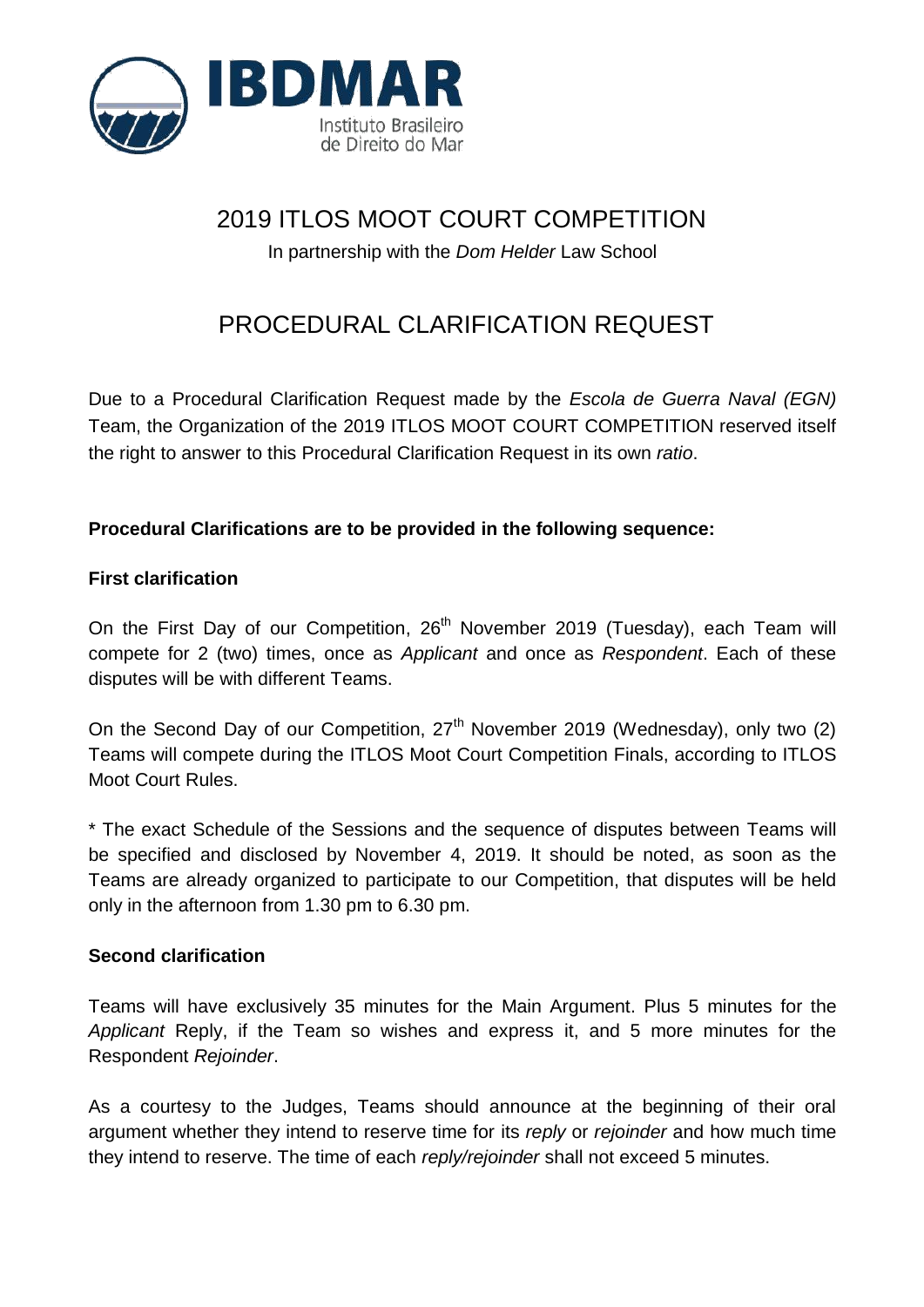

# 2019 ITLOS MOOT COURT COMPETITION

In partnership with the *Dom Helder* Law School

# PROCEDURAL CLARIFICATION REQUEST

Due to a Procedural Clarification Request made by the *Escola de Guerra Naval (EGN)* Team, the Organization of the 2019 ITLOS MOOT COURT COMPETITION reserved itself the right to answer to this Procedural Clarification Request in its own *ratio*.

# **Procedural Clarifications are to be provided in the following sequence:**

## **First clarification**

On the First Day of our Competition, 26<sup>th</sup> November 2019 (Tuesday), each Team will compete for 2 (two) times, once as *Applicant* and once as *Respondent*. Each of these disputes will be with different Teams.

On the Second Day of our Competition, 27<sup>th</sup> November 2019 (Wednesday), only two (2) Teams will compete during the ITLOS Moot Court Competition Finals, according to ITLOS Moot Court Rules.

\* The exact Schedule of the Sessions and the sequence of disputes between Teams will be specified and disclosed by November 4, 2019. It should be noted, as soon as the Teams are already organized to participate to our Competition, that disputes will be held only in the afternoon from 1.30 pm to 6.30 pm.

## **Second clarification**

Teams will have exclusively 35 minutes for the Main Argument. Plus 5 minutes for the *Applicant* Reply, if the Team so wishes and express it, and 5 more minutes for the Respondent *Rejoinder*.

As a courtesy to the Judges, Teams should announce at the beginning of their oral argument whether they intend to reserve time for its *reply* or *rejoinder* and how much time they intend to reserve. The time of each *reply/rejoinder* shall not exceed 5 minutes.